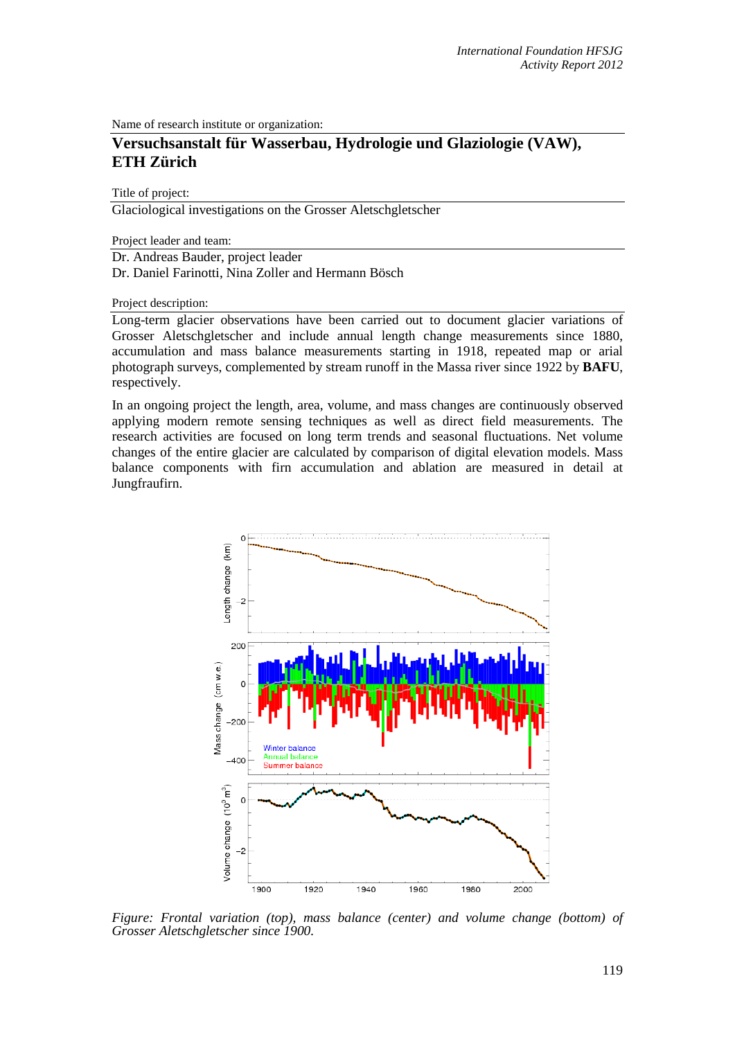Name of research institute or organization:

## **Versuchsanstalt für Wasserbau, Hydrologie und Glaziologie (VAW), ETH Zürich**

Title of project:

Glaciological investigations on the Grosser Aletschgletscher

Project leader and team:

Dr. Andreas Bauder, project leader

Dr. Daniel Farinotti, Nina Zoller and Hermann Bösch

Project description:

Long-term glacier observations have been carried out to document glacier variations of Grosser Aletschgletscher and include annual length change measurements since 1880, accumulation and mass balance measurements starting in 1918, repeated map or arial photograph surveys, complemented by stream runoff in the Massa river since 1922 by **BAFU**, respectively.

In an ongoing project the length, area, volume, and mass changes are continuously observed applying modern remote sensing techniques as well as direct field measurements. The research activities are focused on long term trends and seasonal fluctuations. Net volume changes of the entire glacier are calculated by comparison of digital elevation models. Mass balance components with firn accumulation and ablation are measured in detail at Jungfraufirn.



*Figure: Frontal variation (top), mass balance (center) and volume change (bottom) of Grosser Aletschgletscher since 1900.*